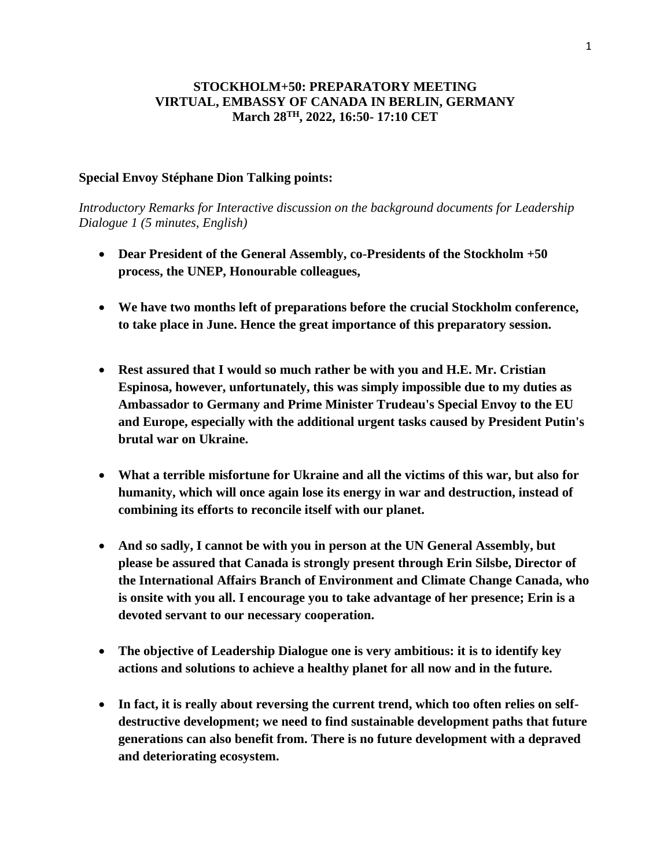## **STOCKHOLM+50: PREPARATORY MEETING VIRTUAL, EMBASSY OF CANADA IN BERLIN, GERMANY March 28TH, 2022, 16:50- 17:10 CET**

## **Special Envoy Stéphane Dion Talking points:**

*Introductory Remarks for Interactive discussion on the background documents for Leadership Dialogue 1 (5 minutes, English)*

- **Dear President of the General Assembly, co-Presidents of the Stockholm +50 process, the UNEP, Honourable colleagues,**
- **We have two months left of preparations before the crucial Stockholm conference, to take place in June. Hence the great importance of this preparatory session.**
- **Rest assured that I would so much rather be with you and H.E. Mr. Cristian Espinosa, however, unfortunately, this was simply impossible due to my duties as Ambassador to Germany and Prime Minister Trudeau's Special Envoy to the EU and Europe, especially with the additional urgent tasks caused by President Putin's brutal war on Ukraine.**
- **What a terrible misfortune for Ukraine and all the victims of this war, but also for humanity, which will once again lose its energy in war and destruction, instead of combining its efforts to reconcile itself with our planet.**
- **And so sadly, I cannot be with you in person at the UN General Assembly, but please be assured that Canada is strongly present through Erin Silsbe, Director of the International Affairs Branch of Environment and Climate Change Canada, who is onsite with you all. I encourage you to take advantage of her presence; Erin is a devoted servant to our necessary cooperation.**
- **The objective of Leadership Dialogue one is very ambitious: it is to identify key actions and solutions to achieve a healthy planet for all now and in the future.**
- **In fact, it is really about reversing the current trend, which too often relies on selfdestructive development; we need to find sustainable development paths that future generations can also benefit from. There is no future development with a depraved and deteriorating ecosystem.**